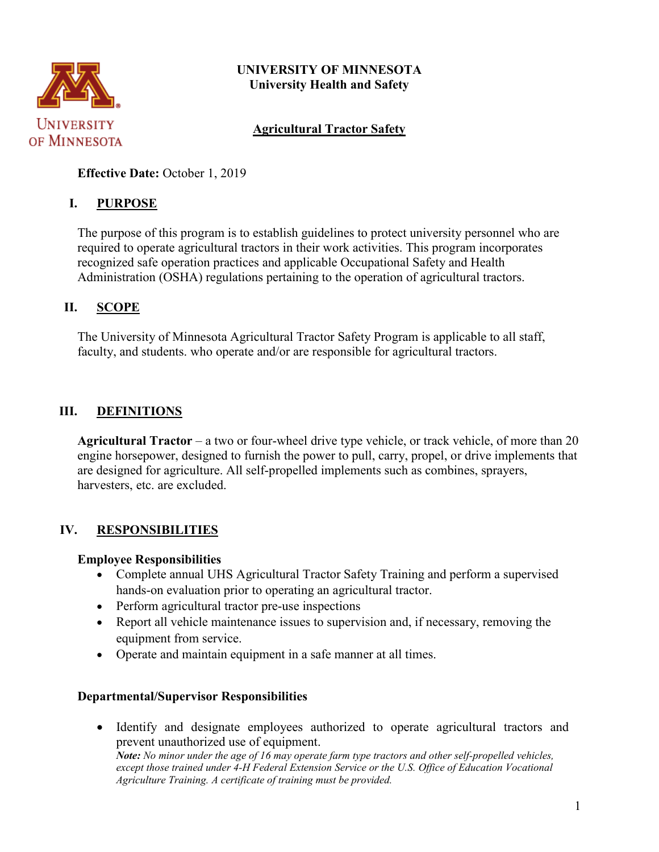

# **UNIVERSITY OF MINNESOTA University Health and Safety**

# **Agricultural Tractor Safety**

**Effective Date:** October 1, 2019

### **I. PURPOSE**

The purpose of this program is to establish guidelines to protect university personnel who are required to operate agricultural tractors in their work activities. This program incorporates recognized safe operation practices and applicable Occupational Safety and Health Administration (OSHA) regulations pertaining to the operation of agricultural tractors.

#### **II. SCOPE**

The University of Minnesota Agricultural Tractor Safety Program is applicable to all staff, faculty, and students. who operate and/or are responsible for agricultural tractors.

# **III. DEFINITIONS**

**Agricultural Tractor** – a two or four-wheel drive type vehicle, or track vehicle, of more than 20 engine horsepower, designed to furnish the power to pull, carry, propel, or drive implements that are designed for agriculture. All self-propelled implements such as combines, sprayers, harvesters, etc. are excluded.

# **IV. RESPONSIBILITIES**

#### **Employee Responsibilities**

- Complete annual UHS Agricultural Tractor Safety Training and perform a supervised hands-on evaluation prior to operating an agricultural tractor.
- Perform agricultural tractor pre-use inspections
- Report all vehicle maintenance issues to supervision and, if necessary, removing the equipment from service.
- Operate and maintain equipment in a safe manner at all times.

#### **Departmental/Supervisor Responsibilities**

• Identify and designate employees authorized to operate agricultural tractors and prevent unauthorized use of equipment. *Note: No minor under the age of 16 may operate farm type tractors and other self-propelled vehicles, except those trained under 4-H Federal Extension Service or the U.S. Office of Education Vocational Agriculture Training. A certificate of training must be provided.*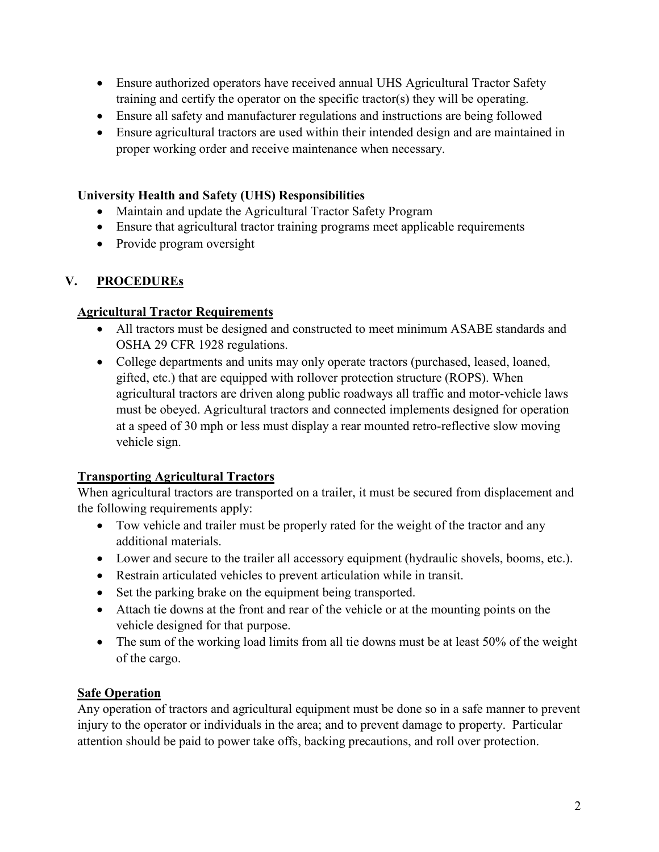- Ensure authorized operators have received annual UHS Agricultural Tractor Safety training and certify the operator on the specific tractor(s) they will be operating.
- Ensure all safety and manufacturer regulations and instructions are being followed
- Ensure agricultural tractors are used within their intended design and are maintained in proper working order and receive maintenance when necessary.

#### **University Health and Safety (UHS) Responsibilities**

- Maintain and update the Agricultural Tractor Safety Program
- Ensure that agricultural tractor training programs meet applicable requirements
- Provide program oversight

# **V. PROCEDUREs**

### **Agricultural Tractor Requirements**

- All tractors must be designed and constructed to meet minimum ASABE standards and OSHA 29 CFR 1928 regulations.
- College departments and units may only operate tractors (purchased, leased, loaned, gifted, etc.) that are equipped with rollover protection structure (ROPS). When agricultural tractors are driven along public roadways all traffic and motor-vehicle laws must be obeyed. Agricultural tractors and connected implements designed for operation at a speed of 30 mph or less must display a rear mounted retro-reflective slow moving vehicle sign.

# **Transporting Agricultural Tractors**

When agricultural tractors are transported on a trailer, it must be secured from displacement and the following requirements apply:

- Tow vehicle and trailer must be properly rated for the weight of the tractor and any additional materials.
- Lower and secure to the trailer all accessory equipment (hydraulic shovels, booms, etc.).
- Restrain articulated vehicles to prevent articulation while in transit.
- Set the parking brake on the equipment being transported.
- Attach tie downs at the front and rear of the vehicle or at the mounting points on the vehicle designed for that purpose.
- The sum of the working load limits from all tie downs must be at least 50% of the weight of the cargo.

# **Safe Operation**

Any operation of tractors and agricultural equipment must be done so in a safe manner to prevent injury to the operator or individuals in the area; and to prevent damage to property. Particular attention should be paid to power take offs, backing precautions, and roll over protection.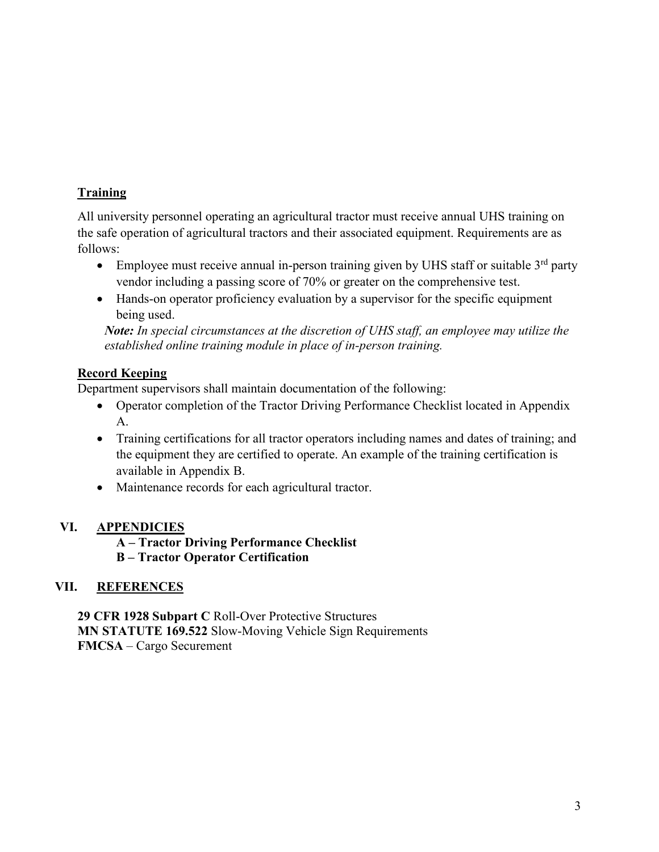# **Training**

All university personnel operating an agricultural tractor must receive annual UHS training on the safe operation of agricultural tractors and their associated equipment. Requirements are as follows:

- Employee must receive annual in-person training given by UHS staff or suitable  $3<sup>rd</sup>$  party vendor including a passing score of 70% or greater on the comprehensive test.
- Hands-on operator proficiency evaluation by a supervisor for the specific equipment being used.

*Note: In special circumstances at the discretion of UHS staff, an employee may utilize the established online training module in place of in-person training.*

# **Record Keeping**

Department supervisors shall maintain documentation of the following:

- Operator completion of the Tractor Driving Performance Checklist located in Appendix A.
- Training certifications for all tractor operators including names and dates of training; and the equipment they are certified to operate. An example of the training certification is available in Appendix B.
- Maintenance records for each agricultural tractor.

# **VI. APPENDICIES**

#### **A – Tractor Driving Performance Checklist B – Tractor Operator Certification**

# **VII. REFERENCES**

**29 CFR 1928 Subpart C** Roll-Over Protective Structures **MN STATUTE 169.522** Slow-Moving Vehicle Sign Requirements **FMCSA** – Cargo Securement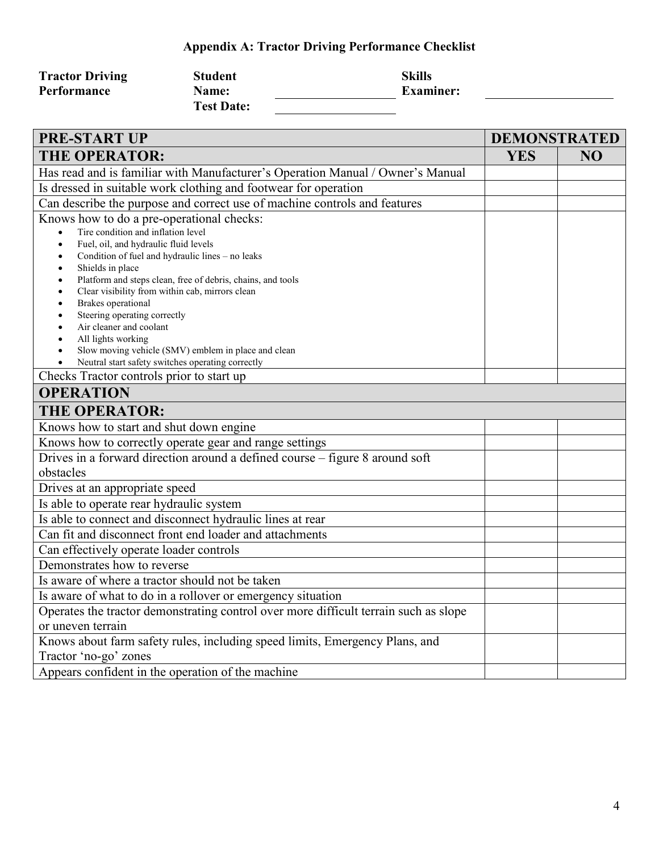# **Appendix A: Tractor Driving Performance Checklist**

| <b>Tractor Driving</b> | <b>Student</b>    | <b>Skills</b>    |
|------------------------|-------------------|------------------|
| Performance            | <b>Name:</b>      | <b>Examiner:</b> |
|                        | <b>Test Date:</b> |                  |

| <b>PRE-START UP</b>                                                                  | <b>DEMONSTRATED</b> |    |  |
|--------------------------------------------------------------------------------------|---------------------|----|--|
| <b>THE OPERATOR:</b>                                                                 | <b>YES</b>          | NO |  |
| Has read and is familiar with Manufacturer's Operation Manual / Owner's Manual       |                     |    |  |
| Is dressed in suitable work clothing and footwear for operation                      |                     |    |  |
| Can describe the purpose and correct use of machine controls and features            |                     |    |  |
| Knows how to do a pre-operational checks:                                            |                     |    |  |
| Tire condition and inflation level<br>$\bullet$                                      |                     |    |  |
| Fuel, oil, and hydraulic fluid levels<br>$\bullet$                                   |                     |    |  |
| Condition of fuel and hydraulic lines - no leaks<br>$\bullet$<br>Shields in place    |                     |    |  |
| Platform and steps clean, free of debris, chains, and tools                          |                     |    |  |
| Clear visibility from within cab, mirrors clean<br>$\bullet$                         |                     |    |  |
| Brakes operational                                                                   |                     |    |  |
| Steering operating correctly                                                         |                     |    |  |
| Air cleaner and coolant<br>All lights working                                        |                     |    |  |
| Slow moving vehicle (SMV) emblem in place and clean                                  |                     |    |  |
| Neutral start safety switches operating correctly                                    |                     |    |  |
| Checks Tractor controls prior to start up                                            |                     |    |  |
| <b>OPERATION</b>                                                                     |                     |    |  |
| <b>THE OPERATOR:</b>                                                                 |                     |    |  |
| Knows how to start and shut down engine                                              |                     |    |  |
| Knows how to correctly operate gear and range settings                               |                     |    |  |
| Drives in a forward direction around a defined course - figure 8 around soft         |                     |    |  |
| obstacles                                                                            |                     |    |  |
| Drives at an appropriate speed                                                       |                     |    |  |
| Is able to operate rear hydraulic system                                             |                     |    |  |
| Is able to connect and disconnect hydraulic lines at rear                            |                     |    |  |
| Can fit and disconnect front end loader and attachments                              |                     |    |  |
| Can effectively operate loader controls                                              |                     |    |  |
| Demonstrates how to reverse                                                          |                     |    |  |
| Is aware of where a tractor should not be taken                                      |                     |    |  |
| Is aware of what to do in a rollover or emergency situation                          |                     |    |  |
| Operates the tractor demonstrating control over more difficult terrain such as slope |                     |    |  |
| or uneven terrain                                                                    |                     |    |  |
| Knows about farm safety rules, including speed limits, Emergency Plans, and          |                     |    |  |
| Tractor 'no-go' zones                                                                |                     |    |  |
| Appears confident in the operation of the machine                                    |                     |    |  |